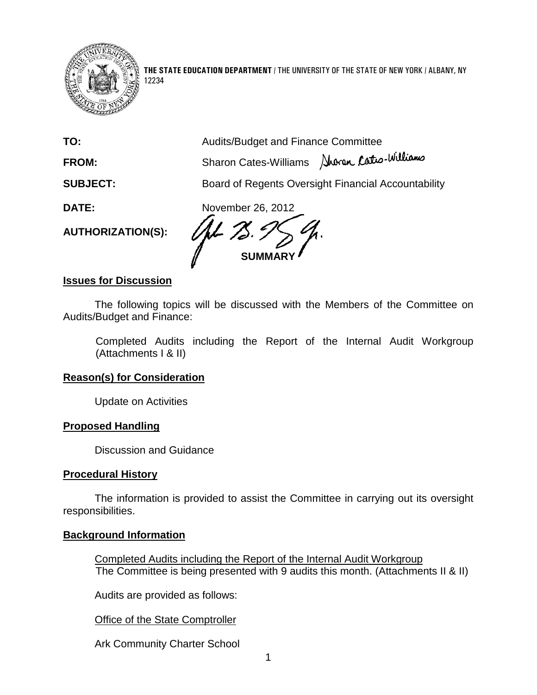

12234

**THE STATE EDUCATION DEPARTMENT** / THE UNIVERSITY OF THE STATE OF NEW YORK / ALBANY, NY

| TO:                      | <b>Audits/Budget and Finance Committee</b>          |
|--------------------------|-----------------------------------------------------|
| FROM:                    | Sharon Cates-Williams Nurran Catro-Williams         |
| <b>SUBJECT:</b>          | Board of Regents Oversight Financial Accountability |
| DATE:                    | November 26, 2012                                   |
| <b>AUTHORIZATION(S):</b> |                                                     |
|                          | <b>SUMI</b>                                         |

### **Issues for Discussion**

The following topics will be discussed with the Members of the Committee on Audits/Budget and Finance:

Completed Audits including the Report of the Internal Audit Workgroup (Attachments I & II)

#### **Reason(s) for Consideration**

Update on Activities

#### **Proposed Handling**

Discussion and Guidance

#### **Procedural History**

The information is provided to assist the Committee in carrying out its oversight responsibilities.

## **Background Information**

Completed Audits including the Report of the Internal Audit Workgroup The Committee is being presented with 9 audits this month. (Attachments II & II)

Audits are provided as follows:

Office of the State Comptroller

Ark Community Charter School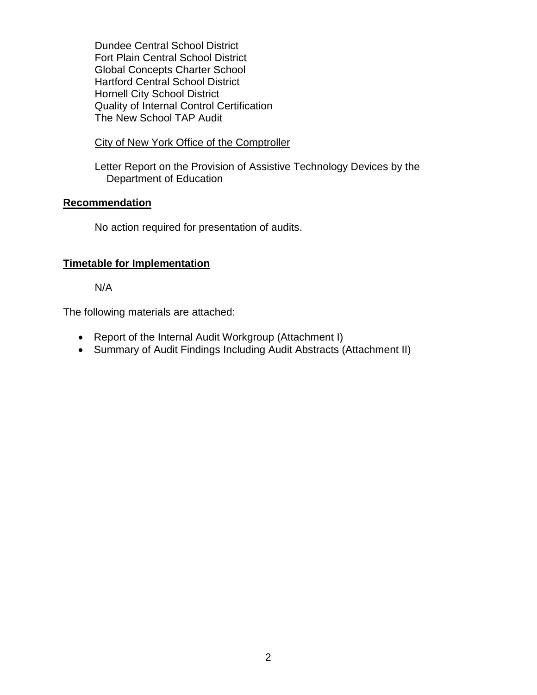Dundee Central School District Fort Plain Central School District Global Concepts Charter School Hartford Central School District Hornell City School District Quality of Internal Control Certification The New School TAP Audit

## City of New York Office of the Comptroller

Letter Report on the Provision of Assistive Technology Devices by the Department of Education

## **Recommendation**

No action required for presentation of audits.

## **Timetable for Implementation**

N/A

The following materials are attached:

- Report of the Internal Audit Workgroup (Attachment I)
- Summary of Audit Findings Including Audit Abstracts (Attachment II)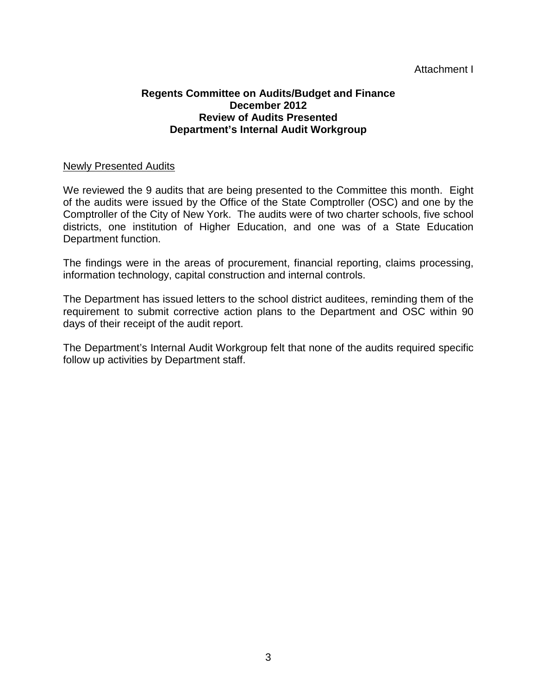# Attachment I

## **Regents Committee on Audits/Budget and Finance December 2012 Review of Audits Presented Department's Internal Audit Workgroup**

### Newly Presented Audits

We reviewed the 9 audits that are being presented to the Committee this month. Eight of the audits were issued by the Office of the State Comptroller (OSC) and one by the Comptroller of the City of New York. The audits were of two charter schools, five school districts, one institution of Higher Education, and one was of a State Education Department function.

The findings were in the areas of procurement, financial reporting, claims processing, information technology, capital construction and internal controls.

The Department has issued letters to the school district auditees, reminding them of the requirement to submit corrective action plans to the Department and OSC within 90 days of their receipt of the audit report.

The Department's Internal Audit Workgroup felt that none of the audits required specific follow up activities by Department staff.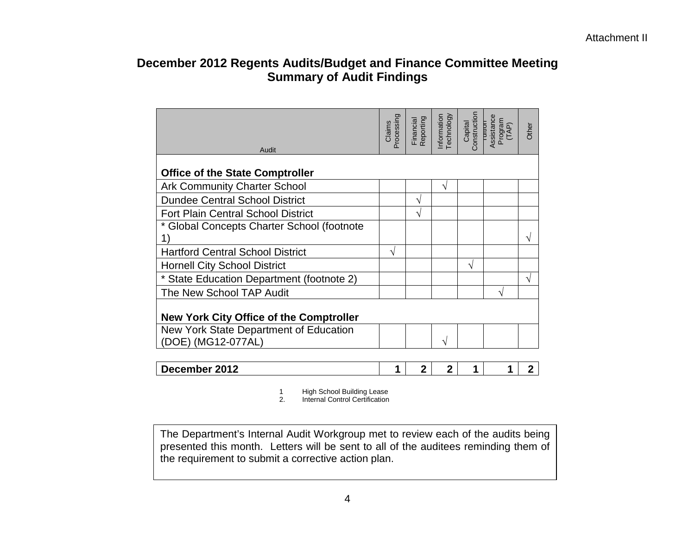# **December 2012 Regents Audits/Budget and Finance Committee Meeting Summary of Audit Findings**

| Audit                                          | processing<br>Claims | Reporting<br>Financial | <b>Technology</b><br>Information | Construction<br>Capital | Assistance<br>Program<br>(TAP)<br>TURIUT | Other |
|------------------------------------------------|----------------------|------------------------|----------------------------------|-------------------------|------------------------------------------|-------|
| <b>Office of the State Comptroller</b>         |                      |                        |                                  |                         |                                          |       |
| <b>Ark Community Charter School</b>            |                      |                        | V                                |                         |                                          |       |
| <b>Dundee Central School District</b>          |                      | ٦                      |                                  |                         |                                          |       |
| <b>Fort Plain Central School District</b>      |                      | V                      |                                  |                         |                                          |       |
| * Global Concepts Charter School (footnote     |                      |                        |                                  |                         |                                          |       |
|                                                |                      |                        |                                  |                         |                                          | V     |
| <b>Hartford Central School District</b>        | V                    |                        |                                  |                         |                                          |       |
| <b>Hornell City School District</b>            |                      |                        |                                  | V                       |                                          |       |
| * State Education Department (footnote 2)      |                      |                        |                                  |                         |                                          | V     |
| The New School TAP Audit                       |                      |                        |                                  |                         | V                                        |       |
| <b>New York City Office of the Comptroller</b> |                      |                        |                                  |                         |                                          |       |
| New York State Department of Education         |                      |                        |                                  |                         |                                          |       |
| (DOE) (MG12-077AL)                             |                      |                        | N                                |                         |                                          |       |

| .2012<br><u>aamhar</u><br>.<br>ecer<br>ZU I Z |  |  |  |  |  |
|-----------------------------------------------|--|--|--|--|--|
|-----------------------------------------------|--|--|--|--|--|

1 High School Building Lease

2. Internal Control Certification

The Department's Internal Audit Workgroup met to review each of the audits being presented this month. Letters will be sent to all of the auditees reminding them of the requirement to submit a corrective action plan.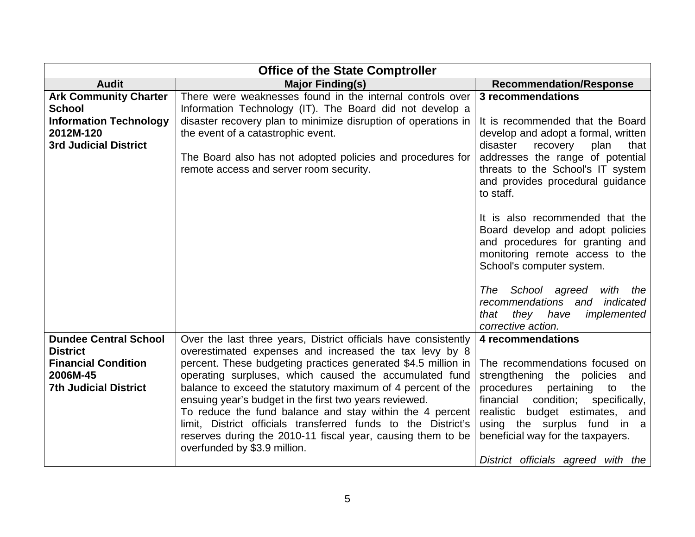| <b>Office of the State Comptroller</b>                                                                                      |                                                                                                                                                                                                                                                                                                                                                                                                                                                                                                                                                                                                           |                                                                                                                                                                                                                                                                                                                               |  |  |
|-----------------------------------------------------------------------------------------------------------------------------|-----------------------------------------------------------------------------------------------------------------------------------------------------------------------------------------------------------------------------------------------------------------------------------------------------------------------------------------------------------------------------------------------------------------------------------------------------------------------------------------------------------------------------------------------------------------------------------------------------------|-------------------------------------------------------------------------------------------------------------------------------------------------------------------------------------------------------------------------------------------------------------------------------------------------------------------------------|--|--|
| <b>Audit</b>                                                                                                                | <b>Major Finding(s)</b>                                                                                                                                                                                                                                                                                                                                                                                                                                                                                                                                                                                   | <b>Recommendation/Response</b>                                                                                                                                                                                                                                                                                                |  |  |
| <b>Ark Community Charter</b><br><b>School</b><br><b>Information Technology</b><br>2012M-120<br><b>3rd Judicial District</b> | There were weaknesses found in the internal controls over<br>Information Technology (IT). The Board did not develop a<br>disaster recovery plan to minimize disruption of operations in<br>the event of a catastrophic event.<br>The Board also has not adopted policies and procedures for<br>remote access and server room security.                                                                                                                                                                                                                                                                    | 3 recommendations<br>It is recommended that the Board<br>develop and adopt a formal, written<br>disaster<br>recovery<br>plan<br>that<br>addresses the range of potential<br>threats to the School's IT system<br>and provides procedural guidance<br>to staff.                                                                |  |  |
|                                                                                                                             |                                                                                                                                                                                                                                                                                                                                                                                                                                                                                                                                                                                                           | It is also recommended that the<br>Board develop and adopt policies<br>and procedures for granting and<br>monitoring remote access to the<br>School's computer system.<br>The School agreed<br>with<br>the<br>recommendations<br>indicated<br>and<br>they have<br>implemented<br>that<br>corrective action.                   |  |  |
| <b>Dundee Central School</b><br><b>District</b><br><b>Financial Condition</b><br>2006M-45<br><b>7th Judicial District</b>   | Over the last three years, District officials have consistently<br>overestimated expenses and increased the tax levy by 8<br>percent. These budgeting practices generated \$4.5 million in<br>operating surpluses, which caused the accumulated fund<br>balance to exceed the statutory maximum of 4 percent of the<br>ensuing year's budget in the first two years reviewed.<br>To reduce the fund balance and stay within the 4 percent<br>limit, District officials transferred funds to the District's<br>reserves during the 2010-11 fiscal year, causing them to be<br>overfunded by \$3.9 million. | 4 recommendations<br>The recommendations focused on<br>strengthening the policies<br>and<br>procedures<br>pertaining<br>to<br>the<br>condition;<br>specifically,<br>financial<br>budget estimates, and<br>realistic<br>using the surplus fund in a<br>beneficial way for the taxpayers.<br>District officials agreed with the |  |  |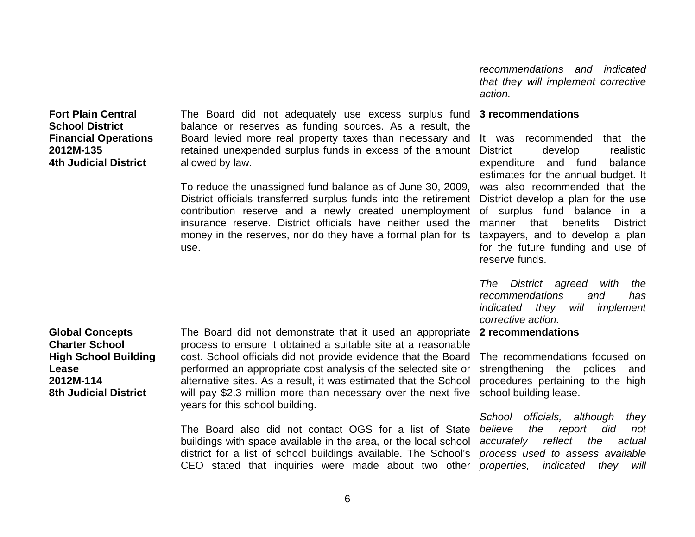|                                                                                                                                      |                                                                                                                                                                                                                                                                                                                                                                                                                                                                                                                                                                                                 | recommendations and indicated<br>that they will implement corrective<br>action.                                                                                                                                                                                                                                                                                                                                                    |
|--------------------------------------------------------------------------------------------------------------------------------------|-------------------------------------------------------------------------------------------------------------------------------------------------------------------------------------------------------------------------------------------------------------------------------------------------------------------------------------------------------------------------------------------------------------------------------------------------------------------------------------------------------------------------------------------------------------------------------------------------|------------------------------------------------------------------------------------------------------------------------------------------------------------------------------------------------------------------------------------------------------------------------------------------------------------------------------------------------------------------------------------------------------------------------------------|
| <b>Fort Plain Central</b><br><b>School District</b><br><b>Financial Operations</b><br>2012M-135<br><b>4th Judicial District</b>      | The Board did not adequately use excess surplus fund<br>balance or reserves as funding sources. As a result, the<br>Board levied more real property taxes than necessary and<br>retained unexpended surplus funds in excess of the amount<br>allowed by law.<br>To reduce the unassigned fund balance as of June 30, 2009,<br>District officials transferred surplus funds into the retirement<br>contribution reserve and a newly created unemployment<br>insurance reserve. District officials have neither used the<br>money in the reserves, nor do they have a formal plan for its<br>use. | 3 recommendations<br>recommended<br>that the<br>It was<br><b>District</b><br>realistic<br>develop<br>expenditure<br>and fund<br>balance<br>estimates for the annual budget. It<br>was also recommended that the<br>District develop a plan for the use<br>of surplus fund balance in a<br>benefits<br>manner<br>that<br><b>District</b><br>taxpayers, and to develop a plan<br>for the future funding and use of<br>reserve funds. |
|                                                                                                                                      |                                                                                                                                                                                                                                                                                                                                                                                                                                                                                                                                                                                                 | District agreed<br>The<br>with<br>the<br>recommendations<br>and<br>has<br>indicated they<br>will<br>implement<br>corrective action.                                                                                                                                                                                                                                                                                                |
| <b>Global Concepts</b><br><b>Charter School</b><br><b>High School Building</b><br>Lease<br>2012M-114<br><b>8th Judicial District</b> | The Board did not demonstrate that it used an appropriate<br>process to ensure it obtained a suitable site at a reasonable<br>cost. School officials did not provide evidence that the Board<br>performed an appropriate cost analysis of the selected site or<br>alternative sites. As a result, it was estimated that the School<br>will pay \$2.3 million more than necessary over the next five<br>years for this school building.<br>The Board also did not contact OGS for a list of State                                                                                                | 2 recommendations<br>The recommendations focused on<br>strengthening the polices<br>and<br>procedures pertaining to the high<br>school building lease.<br>School<br>officials, although<br>they<br>believe<br>the<br>did<br>report<br>not                                                                                                                                                                                          |
|                                                                                                                                      | buildings with space available in the area, or the local school<br>district for a list of school buildings available. The School's<br>CEO stated that inquiries were made about two other                                                                                                                                                                                                                                                                                                                                                                                                       | reflect<br>the<br>actual<br>accurately<br>process used to assess available<br>properties,<br>indicated<br>will<br>they                                                                                                                                                                                                                                                                                                             |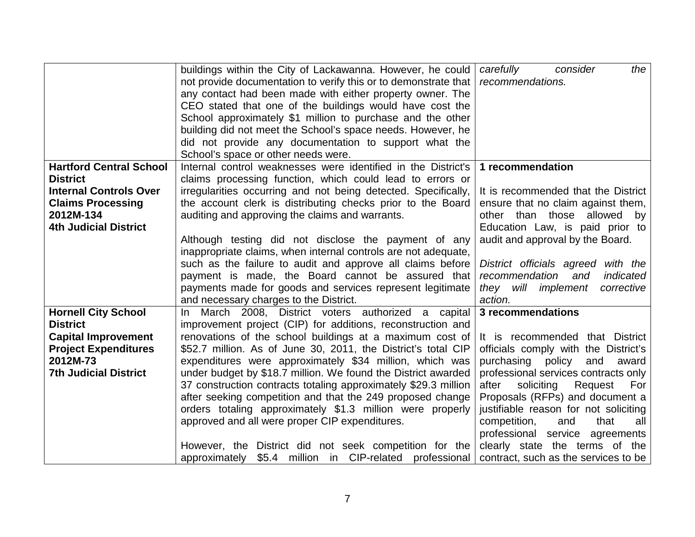|                                                                                                                                                             | buildings within the City of Lackawanna. However, he could<br>not provide documentation to verify this or to demonstrate that<br>any contact had been made with either property owner. The<br>CEO stated that one of the buildings would have cost the<br>School approximately \$1 million to purchase and the other<br>building did not meet the School's space needs. However, he                                                                                                                                                                                                                                                                                                                       | carefully<br>consider<br>the<br>recommendations.                                                                                                                                                                                                                                                                                                                                     |
|-------------------------------------------------------------------------------------------------------------------------------------------------------------|-----------------------------------------------------------------------------------------------------------------------------------------------------------------------------------------------------------------------------------------------------------------------------------------------------------------------------------------------------------------------------------------------------------------------------------------------------------------------------------------------------------------------------------------------------------------------------------------------------------------------------------------------------------------------------------------------------------|--------------------------------------------------------------------------------------------------------------------------------------------------------------------------------------------------------------------------------------------------------------------------------------------------------------------------------------------------------------------------------------|
|                                                                                                                                                             | did not provide any documentation to support what the                                                                                                                                                                                                                                                                                                                                                                                                                                                                                                                                                                                                                                                     |                                                                                                                                                                                                                                                                                                                                                                                      |
| <b>Hartford Central School</b><br><b>District</b><br><b>Internal Controls Over</b><br><b>Claims Processing</b><br>2012M-134<br><b>4th Judicial District</b> | School's space or other needs were.<br>Internal control weaknesses were identified in the District's<br>claims processing function, which could lead to errors or<br>irregularities occurring and not being detected. Specifically,<br>the account clerk is distributing checks prior to the Board<br>auditing and approving the claims and warrants.<br>Although testing did not disclose the payment of any<br>inappropriate claims, when internal controls are not adequate,<br>such as the failure to audit and approve all claims before<br>payment is made, the Board cannot be assured that<br>payments made for goods and services represent legitimate<br>and necessary charges to the District. | 1 recommendation<br>It is recommended that the District<br>ensure that no claim against them,<br>other than those<br>allowed<br>by<br>Education Law, is paid prior to<br>audit and approval by the Board.<br>District officials agreed with the<br>recommendation<br>indicated<br>and<br>they will implement<br>corrective<br>action.                                                |
| <b>Hornell City School</b>                                                                                                                                  | March 2008, District voters authorized a capital<br>In.                                                                                                                                                                                                                                                                                                                                                                                                                                                                                                                                                                                                                                                   | 3 recommendations                                                                                                                                                                                                                                                                                                                                                                    |
| <b>District</b><br><b>Capital Improvement</b><br><b>Project Expenditures</b><br>2012M-73<br><b>7th Judicial District</b>                                    | improvement project (CIP) for additions, reconstruction and<br>renovations of the school buildings at a maximum cost of<br>\$52.7 million. As of June 30, 2011, the District's total CIP<br>expenditures were approximately \$34 million, which was<br>under budget by \$18.7 million. We found the District awarded<br>37 construction contracts totaling approximately \$29.3 million<br>after seeking competition and that the 249 proposed change<br>orders totaling approximately \$1.3 million were properly<br>approved and all were proper CIP expenditures.<br>However, the District did not seek competition for the                                                                            | It is recommended that District<br>officials comply with the District's<br>purchasing policy<br>and<br>award<br>professional services contracts only<br>soliciting<br>Request<br>after<br>For<br>Proposals (RFPs) and document a<br>justifiable reason for not soliciting<br>competition,<br>that<br>all<br>and<br>professional service agreements<br>clearly state the terms of the |
|                                                                                                                                                             | approximately \$5.4 million in CIP-related professional                                                                                                                                                                                                                                                                                                                                                                                                                                                                                                                                                                                                                                                   | contract, such as the services to be                                                                                                                                                                                                                                                                                                                                                 |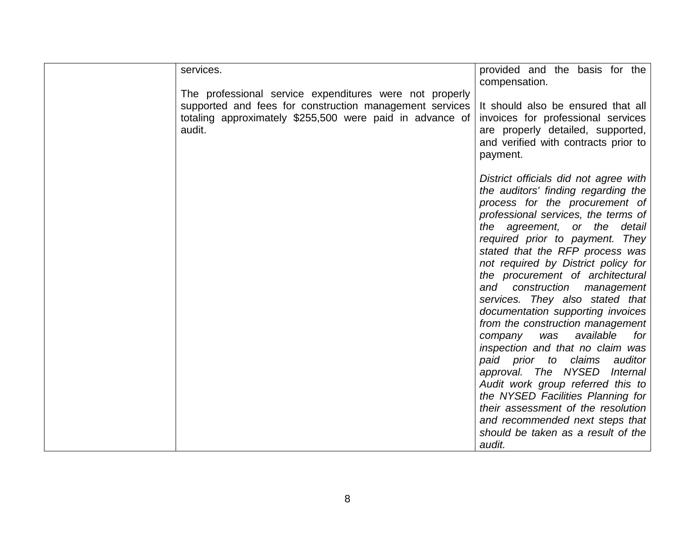| services.<br>compensation.<br>The professional service expenditures were not properly<br>supported and fees for construction management services<br>It should also be ensured that all<br>totaling approximately \$255,500 were paid in advance of<br>invoices for professional services<br>audit.<br>are properly detailed, supported,<br>and verified with contracts prior to<br>payment.<br>District officials did not agree with<br>the auditors' finding regarding the<br>process for the procurement of<br>professional services, the terms of<br>the agreement, or the detail<br>required prior to payment. They |  |                                     |
|-------------------------------------------------------------------------------------------------------------------------------------------------------------------------------------------------------------------------------------------------------------------------------------------------------------------------------------------------------------------------------------------------------------------------------------------------------------------------------------------------------------------------------------------------------------------------------------------------------------------------|--|-------------------------------------|
|                                                                                                                                                                                                                                                                                                                                                                                                                                                                                                                                                                                                                         |  | provided and the basis for the      |
|                                                                                                                                                                                                                                                                                                                                                                                                                                                                                                                                                                                                                         |  |                                     |
|                                                                                                                                                                                                                                                                                                                                                                                                                                                                                                                                                                                                                         |  |                                     |
|                                                                                                                                                                                                                                                                                                                                                                                                                                                                                                                                                                                                                         |  |                                     |
|                                                                                                                                                                                                                                                                                                                                                                                                                                                                                                                                                                                                                         |  |                                     |
|                                                                                                                                                                                                                                                                                                                                                                                                                                                                                                                                                                                                                         |  |                                     |
|                                                                                                                                                                                                                                                                                                                                                                                                                                                                                                                                                                                                                         |  |                                     |
|                                                                                                                                                                                                                                                                                                                                                                                                                                                                                                                                                                                                                         |  |                                     |
|                                                                                                                                                                                                                                                                                                                                                                                                                                                                                                                                                                                                                         |  |                                     |
|                                                                                                                                                                                                                                                                                                                                                                                                                                                                                                                                                                                                                         |  |                                     |
|                                                                                                                                                                                                                                                                                                                                                                                                                                                                                                                                                                                                                         |  |                                     |
|                                                                                                                                                                                                                                                                                                                                                                                                                                                                                                                                                                                                                         |  |                                     |
|                                                                                                                                                                                                                                                                                                                                                                                                                                                                                                                                                                                                                         |  |                                     |
|                                                                                                                                                                                                                                                                                                                                                                                                                                                                                                                                                                                                                         |  |                                     |
|                                                                                                                                                                                                                                                                                                                                                                                                                                                                                                                                                                                                                         |  |                                     |
|                                                                                                                                                                                                                                                                                                                                                                                                                                                                                                                                                                                                                         |  | stated that the RFP process was     |
|                                                                                                                                                                                                                                                                                                                                                                                                                                                                                                                                                                                                                         |  | not required by District policy for |
|                                                                                                                                                                                                                                                                                                                                                                                                                                                                                                                                                                                                                         |  | the procurement of architectural    |
|                                                                                                                                                                                                                                                                                                                                                                                                                                                                                                                                                                                                                         |  | and construction management         |
|                                                                                                                                                                                                                                                                                                                                                                                                                                                                                                                                                                                                                         |  | services. They also stated that     |
|                                                                                                                                                                                                                                                                                                                                                                                                                                                                                                                                                                                                                         |  | documentation supporting invoices   |
|                                                                                                                                                                                                                                                                                                                                                                                                                                                                                                                                                                                                                         |  | from the construction management    |
| available<br>was<br>company                                                                                                                                                                                                                                                                                                                                                                                                                                                                                                                                                                                             |  | for                                 |
|                                                                                                                                                                                                                                                                                                                                                                                                                                                                                                                                                                                                                         |  | inspection and that no claim was    |
| paid prior to claims                                                                                                                                                                                                                                                                                                                                                                                                                                                                                                                                                                                                    |  | auditor                             |
| approval. The NYSED                                                                                                                                                                                                                                                                                                                                                                                                                                                                                                                                                                                                     |  | Internal                            |
|                                                                                                                                                                                                                                                                                                                                                                                                                                                                                                                                                                                                                         |  | Audit work group referred this to   |
|                                                                                                                                                                                                                                                                                                                                                                                                                                                                                                                                                                                                                         |  | the NYSED Facilities Planning for   |
|                                                                                                                                                                                                                                                                                                                                                                                                                                                                                                                                                                                                                         |  | their assessment of the resolution  |
|                                                                                                                                                                                                                                                                                                                                                                                                                                                                                                                                                                                                                         |  | and recommended next steps that     |
|                                                                                                                                                                                                                                                                                                                                                                                                                                                                                                                                                                                                                         |  | should be taken as a result of the  |
| audit.                                                                                                                                                                                                                                                                                                                                                                                                                                                                                                                                                                                                                  |  |                                     |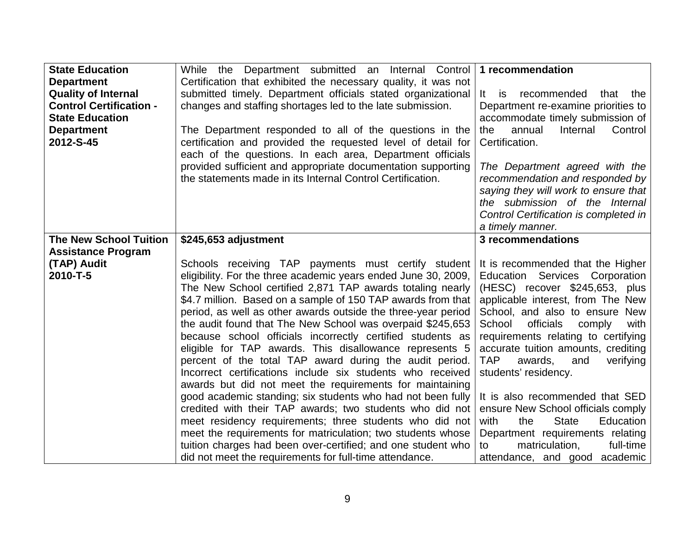| <b>State Education</b>                          | While the Department submitted an Internal Control 1 recommendation                                                            |                                                                              |
|-------------------------------------------------|--------------------------------------------------------------------------------------------------------------------------------|------------------------------------------------------------------------------|
| <b>Department</b><br><b>Quality of Internal</b> | Certification that exhibited the necessary quality, it was not<br>submitted timely. Department officials stated organizational | It is<br>recommended<br>that the                                             |
| <b>Control Certification -</b>                  | changes and staffing shortages led to the late submission.                                                                     | Department re-examine priorities to                                          |
| <b>State Education</b>                          |                                                                                                                                | accommodate timely submission of                                             |
| <b>Department</b><br>2012-S-45                  | The Department responded to all of the questions in the<br>certification and provided the requested level of detail for        | Internal<br>Control<br>the<br>annual<br>Certification.                       |
|                                                 | each of the questions. In each area, Department officials                                                                      |                                                                              |
|                                                 | provided sufficient and appropriate documentation supporting                                                                   | The Department agreed with the                                               |
|                                                 | the statements made in its Internal Control Certification.                                                                     | recommendation and responded by                                              |
|                                                 |                                                                                                                                | saying they will work to ensure that<br>the submission of the Internal       |
|                                                 |                                                                                                                                | Control Certification is completed in                                        |
|                                                 |                                                                                                                                | a timely manner.                                                             |
| <b>The New School Tuition</b>                   | \$245,653 adjustment                                                                                                           | 3 recommendations                                                            |
| <b>Assistance Program</b>                       |                                                                                                                                |                                                                              |
| (TAP) Audit<br>2010-T-5                         | Schools receiving TAP payments must certify student<br>eligibility. For the three academic years ended June 30, 2009,          | It is recommended that the Higher<br>Education Services Corporation          |
|                                                 | The New School certified 2,871 TAP awards totaling nearly                                                                      | (HESC) recover \$245,653, plus                                               |
|                                                 | \$4.7 million. Based on a sample of 150 TAP awards from that                                                                   | applicable interest, from The New                                            |
|                                                 | period, as well as other awards outside the three-year period                                                                  | School, and also to ensure New                                               |
|                                                 | the audit found that The New School was overpaid \$245,653                                                                     | School<br>officials<br>comply<br>with                                        |
|                                                 | because school officials incorrectly certified students as                                                                     | requirements relating to certifying                                          |
|                                                 | eligible for TAP awards. This disallowance represents 5<br>percent of the total TAP award during the audit period.             | accurate tuition amounts, crediting<br>TAP<br>awards,<br>and<br>verifying    |
|                                                 | Incorrect certifications include six students who received                                                                     | students' residency.                                                         |
|                                                 | awards but did not meet the requirements for maintaining                                                                       |                                                                              |
|                                                 | good academic standing; six students who had not been fully                                                                    | It is also recommended that SED                                              |
|                                                 | credited with their TAP awards; two students who did not                                                                       | ensure New School officials comply                                           |
|                                                 | meet residency requirements; three students who did not<br>meet the requirements for matriculation; two students whose         | <b>State</b><br>with<br>the<br>Education<br>Department requirements relating |
|                                                 | tuition charges had been over-certified; and one student who                                                                   | matriculation,<br>full-time<br>to                                            |
|                                                 | did not meet the requirements for full-time attendance.                                                                        | attendance, and good academic                                                |